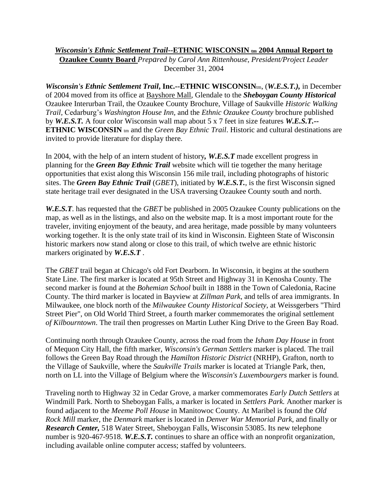## *Wisconsin's Ethnic Settlement Trail*--ETHNIC WISCONSIN **tm** 2004 Annual Report to

**Ozaukee County Board** *Prepared by Carol Ann Rittenhouse, President/Project Leader*  December 31, 2004

*Wisconsin's Ethnic Settlement Trail***, Inc.--ETHNIC WISCONSIN**tm, (*W.E.S.T.),* in December of 2004 moved from its office at Bayshore Mall, Glendale to the *Sheboygan County Historical*  Ozaukee Interurban Trail, the Ozaukee County Brochure, Village of Saukville *Historic Walking Trail,* Cedarburg's *Washington House Inn,* and the *Ethnic Ozaukee County* brochure published by *W.E.S.T.* A four color Wisconsin wall map about 5 x 7 feet in size features *W.E.S.T.--* **ETHNIC WISCONSIN** tm and the *Green Bay Ethnic Trail*. Historic and cultural destinations are invited to provide literature for display there.

In 2004, with the help of an intern student of history*, W.E.S.T* made excellent progress in planning for the *Green Bay Ethnic Trail* website which will tie together the many heritage opportunities that exist along this Wisconsin 156 mile trail, including photographs of historic sites. The *Green Bay Ethnic Trail* (*GBET*), initiated by *W.E.S.T.*, is the first Wisconsin signed state heritage trail ever designated in the USA traversing Ozaukee County south and north.

*W.E.S.T*. has requested that the *GBET* be published in 2005 Ozaukee County publications on the map, as well as in the listings, and also on the website map. It is a most important route for the traveler, inviting enjoyment of the beauty, and area heritage, made possible by many volunteers working together. It is the only state trail of its kind in Wisconsin. Eighteen State of Wisconsin historic markers now stand along or close to this trail, of which twelve are ethnic historic markers originated by *W.E.S.T* .

The *GBET* trail began at Chicago's old Fort Dearborn. In Wisconsin, it begins at the southern State Line. The first marker is located at 95th Street and Highway 31 in Kenosha County. The second marker is found at the *Bohemian School* built in 1888 in the Town of Caledonia, Racine County. The third marker is located in Bayview at *Zillman Park*, and tells of area immigrants. In Milwaukee, one block north of the *Milwaukee County Historical Society*, at Weissgerbers "Third Street Pier", on Old World Third Street, a fourth marker commemorates the original settlement *of Kilbourntown*. The trail then progresses on Martin Luther King Drive to the Green Bay Road.

Continuing north through Ozaukee County, across the road from the *Isham Day House* in front of Mequon City Hall, the fifth marker, *Wisconsin's German Settlers* marker is placed. The trail follows the Green Bay Road through the *Hamilton Historic District* (NRHP), Grafton, north to the Village of Saukville, where the *Saukville Trails* marker is located at Triangle Park, then, north on LL into the Village of Belgium where the *Wisconsin's Luxembourgers* marker is found.

Traveling north to Highway 32 in Cedar Grove, a marker commemorates *Early Dutch Settlers* at Windmill Park. North to Sheboygan Falls, a marker is located in *Settlers Park.* Another marker is found adjacent to the *Meeme Poll House* in Manitowoc County. At Maribel is found the *Old Rock Mill* marker, the *Denmark* marker is located in *Denver War Memorial Park*, and finally or *Research Center,* 518 Water Street, Sheboygan Falls, Wisconsin 53085. Its new telephone number is 920-467-9518. *W.E.S.T.* continues to share an office with an nonprofit organization, including available online computer access; staffed by volunteers.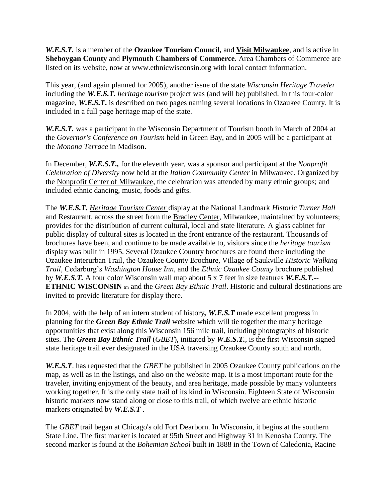*W.E.S.T.* is a member of the **Ozaukee Tourism Council,** and **Visit Milwaukee**, and is active in **Sheboygan County** and **Plymouth Chambers of Commerce.** Area Chambers of Commerce are listed on its website, now at www.ethnicwisconsin.org with local contact information.

This year, (and again planned for 2005), another issue of the state *Wisconsin Heritage Traveler*  including the *W.E.S.T. heritage tourism* project was (and will be) published. In this four-color magazine, *W.E.S.T***.** is described on two pages naming several locations in Ozaukee County. It is included in a full page heritage map of the state.

*W.E.S.T.* was a participant in the Wisconsin Department of Tourism booth in March of 2004 at the *Governor's Conference on Tourism* held in Green Bay, and in 2005 will be a participant at the *Monona Terrace* in Madison.

In December, *W.E.S.T.,* for the eleventh year, was a sponsor and participant at the *Nonprofit Celebration of Diversity* now held at the *Italian Community Center* in Milwaukee. Organized by the Nonprofit Center of Milwaukee, the celebration was attended by many ethnic groups; and included ethnic dancing, music, foods and gifts.

The *W.E.S.T. Heritage Tourism Center* display at the National Landmark *Historic Turner Hall* and Restaurant, across the street from the Bradley Center, Milwaukee, maintained by volunteers; provides for the distribution of current cultural, local and state literature. A glass cabinet for public display of cultural sites is located in the front entrance of the restaurant. Thousands of brochures have been, and continue to be made available to, visitors since the *heritage tourism* display was built in 1995. Several Ozaukee Country brochures are found there including the Ozaukee Interurban Trail, the Ozaukee County Brochure, Village of Saukville *Historic Walking Trail,* Cedarburg's *Washington House Inn,* and the *Ethnic Ozaukee County* brochure published by *W.E.S.T.* A four color Wisconsin wall map about 5 x 7 feet in size features *W.E.S.T.--* **ETHNIC WISCONSIN** tm and the *Green Bay Ethnic Trail*. Historic and cultural destinations are invited to provide literature for display there.

In 2004, with the help of an intern student of history*, W.E.S.T* made excellent progress in planning for the *Green Bay Ethnic Trail* website which will tie together the many heritage opportunities that exist along this Wisconsin 156 mile trail, including photographs of historic sites. The *Green Bay Ethnic Trail* (*GBET*), initiated by *W.E.S.T.*, is the first Wisconsin signed state heritage trail ever designated in the USA traversing Ozaukee County south and north.

*W.E.S.T*. has requested that the *GBET* be published in 2005 Ozaukee County publications on the map, as well as in the listings, and also on the website map. It is a most important route for the traveler, inviting enjoyment of the beauty, and area heritage, made possible by many volunteers working together. It is the only state trail of its kind in Wisconsin. Eighteen State of Wisconsin historic markers now stand along or close to this trail, of which twelve are ethnic historic markers originated by *W.E.S.T* .

The *GBET* trail began at Chicago's old Fort Dearborn. In Wisconsin, it begins at the southern State Line. The first marker is located at 95th Street and Highway 31 in Kenosha County. The second marker is found at the *Bohemian School* built in 1888 in the Town of Caledonia, Racine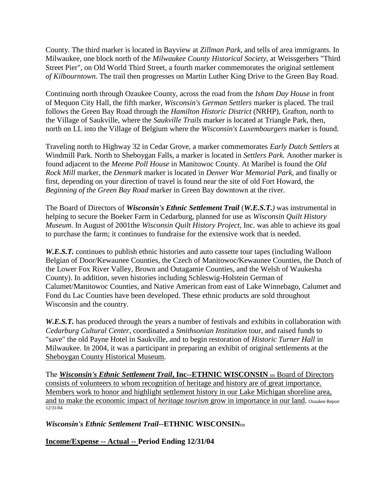County. The third marker is located in Bayview at *Zillman Park*, and tells of area immigrants. In Milwaukee, one block north of the *Milwaukee County Historical Society*, at Weissgerbers "Third Street Pier", on Old World Third Street, a fourth marker commemorates the original settlement *of Kilbourntown*. The trail then progresses on Martin Luther King Drive to the Green Bay Road.

Continuing north through Ozaukee County, across the road from the *Isham Day House* in front of Mequon City Hall, the fifth marker, *Wisconsin's German Settlers* marker is placed. The trail follows the Green Bay Road through the *Hamilton Historic District* (NRHP), Grafton, north to the Village of Saukville, where the *Saukville Trails* marker is located at Triangle Park, then, north on LL into the Village of Belgium where the *Wisconsin's Luxembourgers* marker is found.

Traveling north to Highway 32 in Cedar Grove, a marker commemorates *Early Dutch Settlers* at Windmill Park. North to Sheboygan Falls, a marker is located in *Settlers Park.* Another marker is found adjacent to the *Meeme Poll House* in Manitowoc County. At Maribel is found the *Old Rock Mill* marker, the *Denmark* marker is located in *Denver War Memorial Park*, and finally or first, depending on your direction of travel is found near the site of old Fort Howard, the *Beginning of the Green Bay Road* marker in Green Bay downtown at the river.

The Board of Directors of *Wisconsin's Ethnic Settlement Trail* (*W.E.S.T.)* was instrumental in helping to secure the Boeker Farm in Cedarburg, planned for use as *Wisconsin Quilt History Museum*. In August of 2001the *Wisconsin Quilt History Project*, Inc. was able to achieve its goal to purchase the farm; it continues to fundraise for the extensive work that is needed.

*W.E.S.T.* continues to publish ethnic histories and auto cassette tour tapes (including Walloon Belgian of Door/Kewaunee Counties, the Czech of Manitowoc/Kewaunee Counties, the Dutch of the Lower Fox River Valley, Brown and Outagamie Counties, and the Welsh of Waukesha County). In addition, seven histories including Schleswig-Holstein German of Calumet/Manitowoc Counties, and Native American from east of Lake Winnebago, Calumet and Fond du Lac Counties have been developed. These ethnic products are sold throughout Wisconsin and the country.

*W.E.S.T.* has produced through the years a number of festivals and exhibits in collaboration with *Cedarburg Cultural Center*, coordinated a *Smithsonian Institution* tour, and raised funds to "save" the old Payne Hotel in Saukville, and to begin restoration of *Historic Turner Hall* in Milwaukee. In 2004, it was a participant in preparing an exhibit of original settlements at the Sheboygan County Historical Museum.

The *Wisconsin's Ethnic Settlement Trail***, Inc--ETHNIC WISCONSIN** tm Board of Directors consists of volunteers to whom recognition of heritage and history are of great importance. Members work to honor and highlight settlement history in our Lake Michigan shoreline area, and to make the economic impact of *heritage tourism* grow in importance in our land. Ozaukee Report 12/31/04

*Wisconsin's Ethnic Settlement Trail--***ETHNIC WISCONSIN**tm

**Income/Expense -- Actual -- Period Ending 12/31/04**